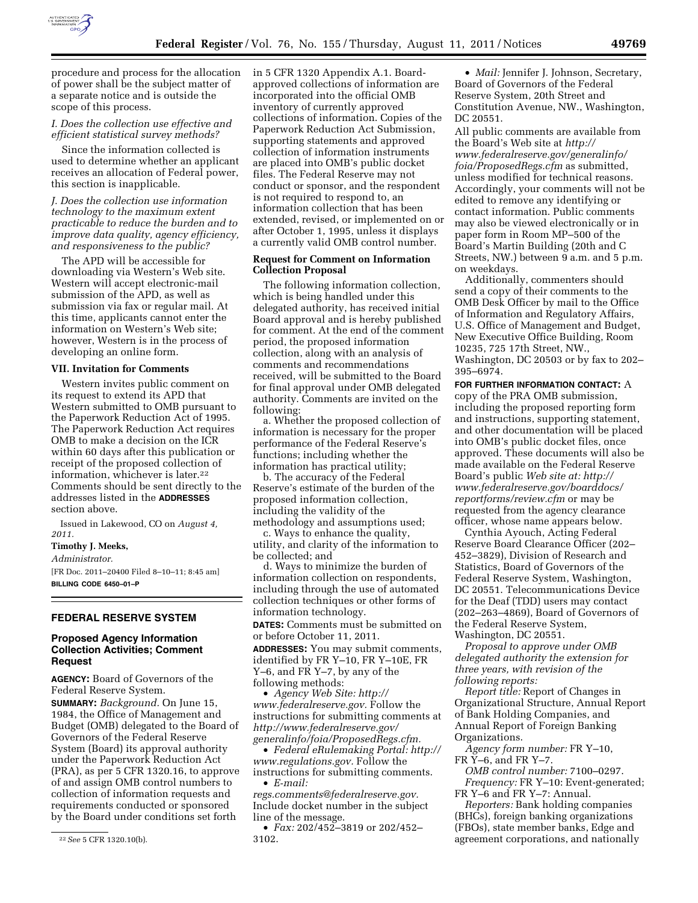

procedure and process for the allocation of power shall be the subject matter of a separate notice and is outside the scope of this process.

# *I. Does the collection use effective and efficient statistical survey methods?*

Since the information collected is used to determine whether an applicant receives an allocation of Federal power, this section is inapplicable.

*J. Does the collection use information technology to the maximum extent practicable to reduce the burden and to improve data quality, agency efficiency, and responsiveness to the public?* 

The APD will be accessible for downloading via Western's Web site. Western will accept electronic-mail submission of the APD, as well as submission via fax or regular mail. At this time, applicants cannot enter the information on Western's Web site; however, Western is in the process of developing an online form.

#### **VII. Invitation for Comments**

Western invites public comment on its request to extend its APD that Western submitted to OMB pursuant to the Paperwork Reduction Act of 1995. The Paperwork Reduction Act requires OMB to make a decision on the ICR within 60 days after this publication or receipt of the proposed collection of information, whichever is later.22 Comments should be sent directly to the addresses listed in the **ADDRESSES** section above.

Issued in Lakewood, CO on *August 4, 2011.* 

# **Timothy J. Meeks,**

*Administrator.* 

[FR Doc. 2011–20400 Filed 8–10–11; 8:45 am] **BILLING CODE 6450–01–P** 

#### **FEDERAL RESERVE SYSTEM**

### **Proposed Agency Information Collection Activities; Comment Request**

**AGENCY:** Board of Governors of the Federal Reserve System.

**SUMMARY:** *Background.* On June 15, 1984, the Office of Management and Budget (OMB) delegated to the Board of Governors of the Federal Reserve System (Board) its approval authority under the Paperwork Reduction Act (PRA), as per 5 CFR 1320.16, to approve of and assign OMB control numbers to collection of information requests and requirements conducted or sponsored by the Board under conditions set forth

in 5 CFR 1320 Appendix A.1. Boardapproved collections of information are incorporated into the official OMB inventory of currently approved collections of information. Copies of the Paperwork Reduction Act Submission, supporting statements and approved collection of information instruments are placed into OMB's public docket files. The Federal Reserve may not conduct or sponsor, and the respondent is not required to respond to, an information collection that has been extended, revised, or implemented on or after October 1, 1995, unless it displays a currently valid OMB control number.

# **Request for Comment on Information Collection Proposal**

The following information collection, which is being handled under this delegated authority, has received initial Board approval and is hereby published for comment. At the end of the comment period, the proposed information collection, along with an analysis of comments and recommendations received, will be submitted to the Board for final approval under OMB delegated authority. Comments are invited on the following:

a. Whether the proposed collection of information is necessary for the proper performance of the Federal Reserve's functions; including whether the information has practical utility;

b. The accuracy of the Federal Reserve's estimate of the burden of the proposed information collection, including the validity of the methodology and assumptions used;

c. Ways to enhance the quality, utility, and clarity of the information to be collected; and

d. Ways to minimize the burden of information collection on respondents, including through the use of automated collection techniques or other forms of information technology.

**DATES:** Comments must be submitted on or before October 11, 2011.

**ADDRESSES:** You may submit comments, identified by FR Y–10, FR Y–10E, FR Y–6, and FR Y–7, by any of the following methods:

• *Agency Web Site: [http://](http://www.federalreserve.gov)  [www.federalreserve.gov.](http://www.federalreserve.gov)* Follow the instructions for submitting comments at *[http://www.federalreserve.gov/](http://www.federalreserve.gov/generalinfo/foia/ProposedRegs.cfm)  [generalinfo/foia/ProposedRegs.cfm.](http://www.federalreserve.gov/generalinfo/foia/ProposedRegs.cfm)* 

• *Federal eRulemaking Portal: [http://](http://www.regulations.gov)  [www.regulations.gov.](http://www.regulations.gov)* Follow the instructions for submitting comments. • *E-mail:* 

*[regs.comments@federalreserve.gov.](mailto:regs.comments@federalreserve.gov)*  Include docket number in the subject line of the message.

• *Fax:* 202/452–3819 or 202/452– 3102.

• *Mail:* Jennifer J. Johnson, Secretary, Board of Governors of the Federal Reserve System, 20th Street and Constitution Avenue, NW., Washington, DC 20551.

All public comments are available from the Board's Web site at *[http://](http://www.federalreserve.gov/generalinfo/foia/ProposedRegs.cfm) [www.federalreserve.gov/generalinfo/](http://www.federalreserve.gov/generalinfo/foia/ProposedRegs.cfm) [foia/ProposedRegs.cfm](http://www.federalreserve.gov/generalinfo/foia/ProposedRegs.cfm)* as submitted, unless modified for technical reasons. Accordingly, your comments will not be edited to remove any identifying or contact information. Public comments may also be viewed electronically or in paper form in Room MP–500 of the Board's Martin Building (20th and C Streets, NW.) between 9 a.m. and 5 p.m. on weekdays.

Additionally, commenters should send a copy of their comments to the OMB Desk Officer by mail to the Office of Information and Regulatory Affairs, U.S. Office of Management and Budget, New Executive Office Building, Room 10235, 725 17th Street, NW., Washington, DC 20503 or by fax to 202– 395–6974.

**FOR FURTHER INFORMATION CONTACT:** A copy of the PRA OMB submission, including the proposed reporting form and instructions, supporting statement, and other documentation will be placed into OMB's public docket files, once approved. These documents will also be made available on the Federal Reserve Board's public *Web site at: [http://](http://www.federalreserve.gov/boarddocs/reportforms/review.cfm) [www.federalreserve.gov/boarddocs/](http://www.federalreserve.gov/boarddocs/reportforms/review.cfm)  [reportforms/review.cfm](http://www.federalreserve.gov/boarddocs/reportforms/review.cfm)* or may be requested from the agency clearance officer, whose name appears below.

Cynthia Ayouch, Acting Federal Reserve Board Clearance Officer (202– 452–3829), Division of Research and Statistics, Board of Governors of the Federal Reserve System, Washington, DC 20551. Telecommunications Device for the Deaf (TDD) users may contact (202–263–4869), Board of Governors of the Federal Reserve System, Washington, DC 20551.

*Proposal to approve under OMB delegated authority the extension for three years, with revision of the following reports:* 

*Report title:* Report of Changes in Organizational Structure, Annual Report of Bank Holding Companies, and Annual Report of Foreign Banking Organizations.

*Agency form number:* FR Y–10, FR Y–6, and FR Y–7.

*OMB control number:* 7100–0297. *Frequency:* FR Y–10: Event-generated; FR Y–6 and FR Y–7: Annual.

*Reporters:* Bank holding companies (BHCs), foreign banking organizations (FBOs), state member banks, Edge and agreement corporations, and nationally

<sup>22</sup>*See* 5 CFR 1320.10(b).